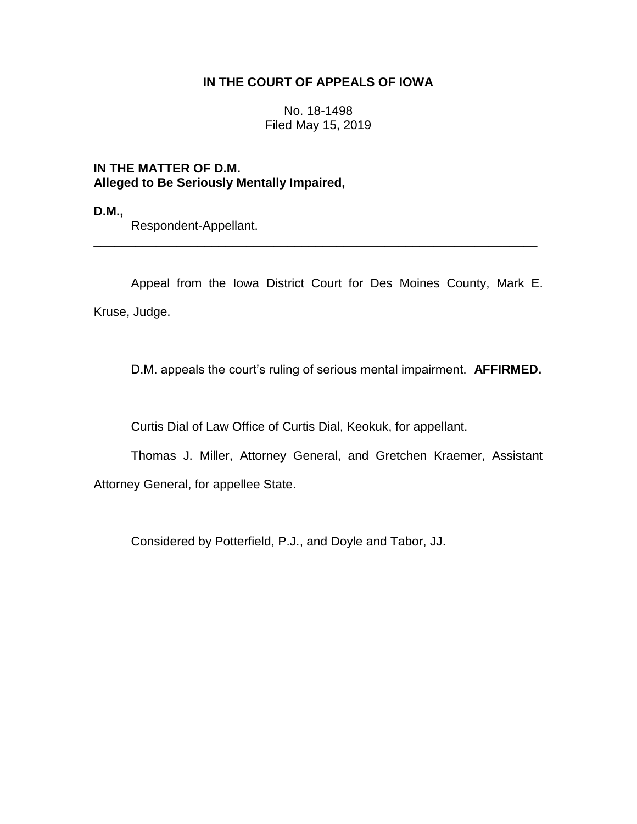## **IN THE COURT OF APPEALS OF IOWA**

No. 18-1498 Filed May 15, 2019

## **IN THE MATTER OF D.M. Alleged to Be Seriously Mentally Impaired,**

**D.M.,**

Respondent-Appellant.

Appeal from the Iowa District Court for Des Moines County, Mark E. Kruse, Judge.

\_\_\_\_\_\_\_\_\_\_\_\_\_\_\_\_\_\_\_\_\_\_\_\_\_\_\_\_\_\_\_\_\_\_\_\_\_\_\_\_\_\_\_\_\_\_\_\_\_\_\_\_\_\_\_\_\_\_\_\_\_\_\_\_

D.M. appeals the court's ruling of serious mental impairment. **AFFIRMED.**

Curtis Dial of Law Office of Curtis Dial, Keokuk, for appellant.

Thomas J. Miller, Attorney General, and Gretchen Kraemer, Assistant Attorney General, for appellee State.

Considered by Potterfield, P.J., and Doyle and Tabor, JJ.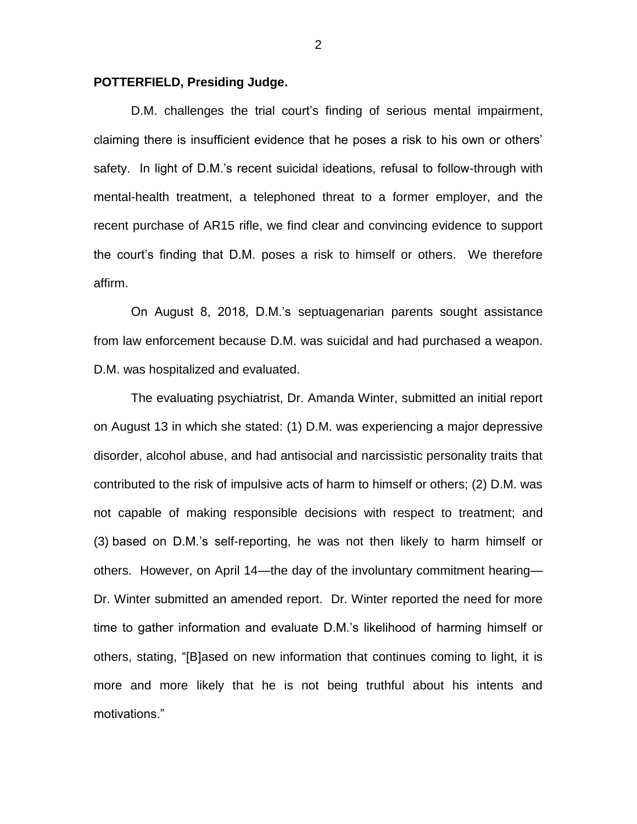## **POTTERFIELD, Presiding Judge.**

D.M. challenges the trial court's finding of serious mental impairment, claiming there is insufficient evidence that he poses a risk to his own or others' safety. In light of D.M.'s recent suicidal ideations, refusal to follow-through with mental-health treatment, a telephoned threat to a former employer, and the recent purchase of AR15 rifle, we find clear and convincing evidence to support the court's finding that D.M. poses a risk to himself or others. We therefore affirm.

On August 8, 2018, D.M.'s septuagenarian parents sought assistance from law enforcement because D.M. was suicidal and had purchased a weapon. D.M. was hospitalized and evaluated.

The evaluating psychiatrist, Dr. Amanda Winter, submitted an initial report on August 13 in which she stated: (1) D.M. was experiencing a major depressive disorder, alcohol abuse, and had antisocial and narcissistic personality traits that contributed to the risk of impulsive acts of harm to himself or others; (2) D.M. was not capable of making responsible decisions with respect to treatment; and (3) based on D.M.'s self-reporting, he was not then likely to harm himself or others. However, on April 14—the day of the involuntary commitment hearing— Dr. Winter submitted an amended report. Dr. Winter reported the need for more time to gather information and evaluate D.M.'s likelihood of harming himself or others, stating, "[B]ased on new information that continues coming to light, it is more and more likely that he is not being truthful about his intents and motivations."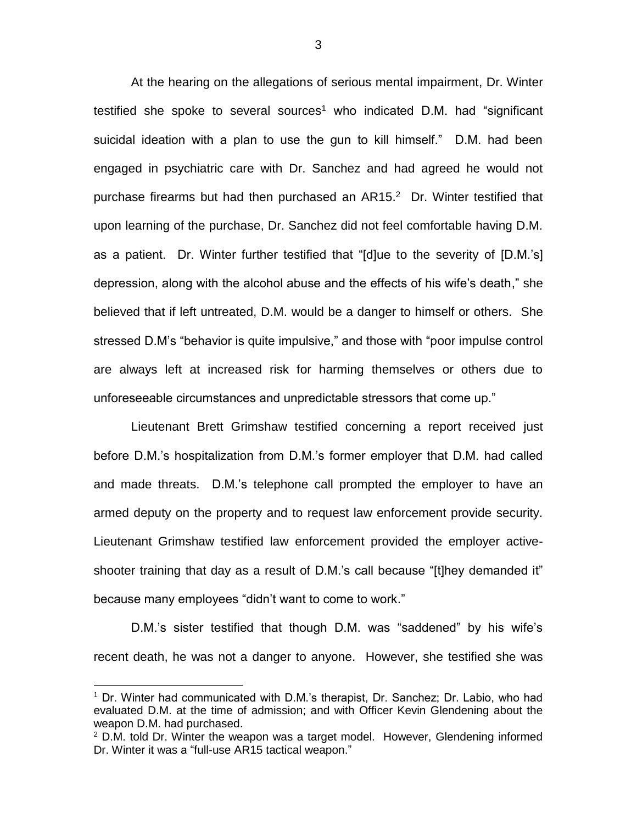At the hearing on the allegations of serious mental impairment, Dr. Winter testified she spoke to several sources<sup>1</sup> who indicated D.M. had "significant suicidal ideation with a plan to use the gun to kill himself." D.M. had been engaged in psychiatric care with Dr. Sanchez and had agreed he would not purchase firearms but had then purchased an  $AR15<sup>2</sup>$  Dr. Winter testified that upon learning of the purchase, Dr. Sanchez did not feel comfortable having D.M. as a patient. Dr. Winter further testified that "[d]ue to the severity of [D.M.'s] depression, along with the alcohol abuse and the effects of his wife's death," she believed that if left untreated, D.M. would be a danger to himself or others. She stressed D.M's "behavior is quite impulsive," and those with "poor impulse control are always left at increased risk for harming themselves or others due to unforeseeable circumstances and unpredictable stressors that come up."

Lieutenant Brett Grimshaw testified concerning a report received just before D.M.'s hospitalization from D.M.'s former employer that D.M. had called and made threats. D.M.'s telephone call prompted the employer to have an armed deputy on the property and to request law enforcement provide security. Lieutenant Grimshaw testified law enforcement provided the employer activeshooter training that day as a result of D.M.'s call because "[t]hey demanded it" because many employees "didn't want to come to work."

D.M.'s sister testified that though D.M. was "saddened" by his wife's recent death, he was not a danger to anyone. However, she testified she was

 $\overline{a}$ 

<sup>&</sup>lt;sup>1</sup> Dr. Winter had communicated with D.M.'s therapist, Dr. Sanchez; Dr. Labio, who had evaluated D.M. at the time of admission; and with Officer Kevin Glendening about the weapon D.M. had purchased.

 $2$  D.M. told Dr. Winter the weapon was a target model. However, Glendening informed Dr. Winter it was a "full-use AR15 tactical weapon."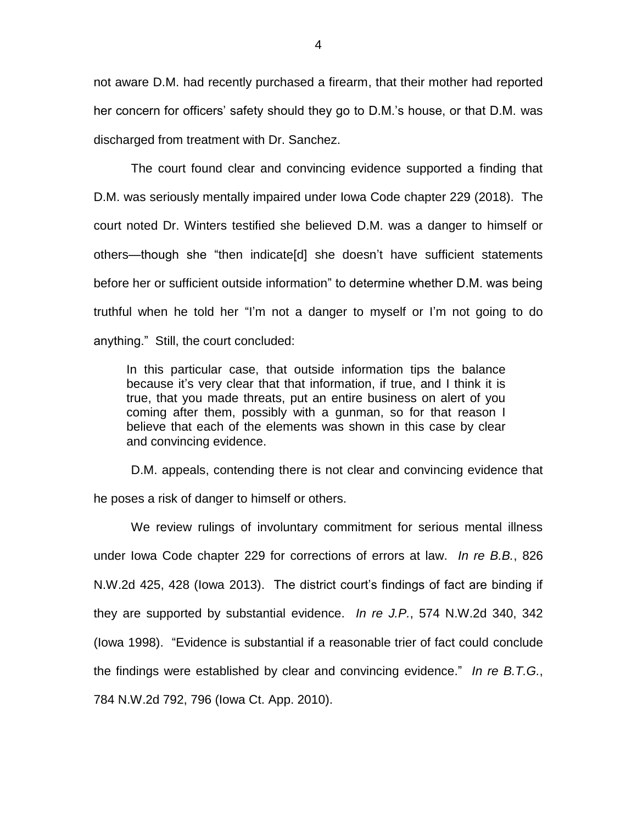not aware D.M. had recently purchased a firearm, that their mother had reported her concern for officers' safety should they go to D.M.'s house, or that D.M. was discharged from treatment with Dr. Sanchez.

The court found clear and convincing evidence supported a finding that D.M. was seriously mentally impaired under Iowa Code chapter 229 (2018). The court noted Dr. Winters testified she believed D.M. was a danger to himself or others—though she "then indicate[d] she doesn't have sufficient statements before her or sufficient outside information" to determine whether D.M. was being truthful when he told her "I'm not a danger to myself or I'm not going to do anything." Still, the court concluded:

In this particular case, that outside information tips the balance because it's very clear that that information, if true, and I think it is true, that you made threats, put an entire business on alert of you coming after them, possibly with a gunman, so for that reason I believe that each of the elements was shown in this case by clear and convincing evidence.

D.M. appeals, contending there is not clear and convincing evidence that he poses a risk of danger to himself or others.

We review rulings of involuntary commitment for serious mental illness under Iowa Code chapter 229 for corrections of errors at law. *In re B.B.*, 826 N.W.2d 425, 428 (Iowa 2013). The district court's findings of fact are binding if they are supported by substantial evidence. *In re J.P.*, 574 N.W.2d 340, 342 (Iowa 1998). "Evidence is substantial if a reasonable trier of fact could conclude the findings were established by clear and convincing evidence." *In re B.T.G.*, 784 N.W.2d 792, 796 (Iowa Ct. App. 2010).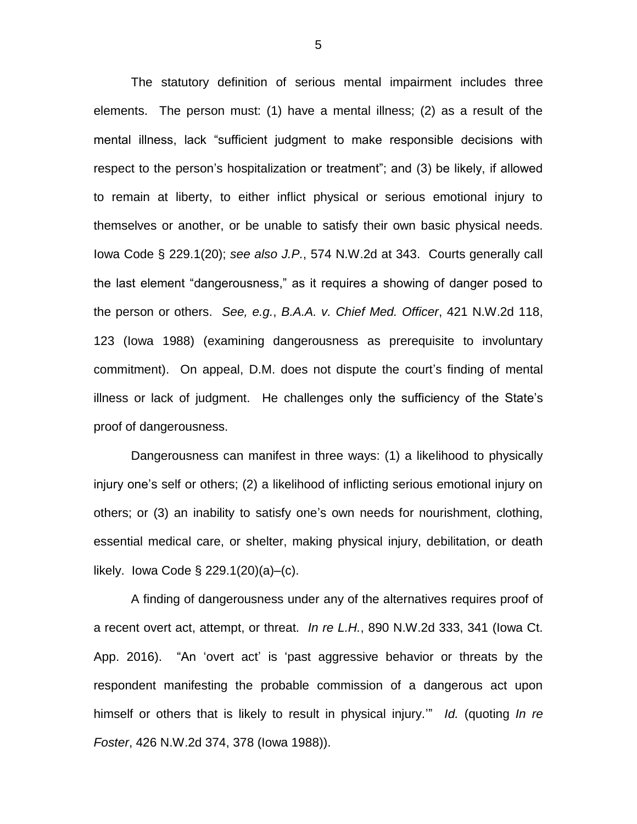The statutory definition of serious mental impairment includes three elements. The person must: (1) have a mental illness; (2) as a result of the mental illness, lack "sufficient judgment to make responsible decisions with respect to the person's hospitalization or treatment"; and (3) be likely, if allowed to remain at liberty, to either inflict physical or serious emotional injury to themselves or another, or be unable to satisfy their own basic physical needs. Iowa Code § 229.1(20); *see also J.P.*, 574 N.W.2d at 343. Courts generally call the last element "dangerousness," as it requires a showing of danger posed to the person or others. *See, e.g.*, *B.A.A. v. Chief Med. Officer*, 421 N.W.2d 118, 123 (Iowa 1988) (examining dangerousness as prerequisite to involuntary commitment). On appeal, D.M. does not dispute the court's finding of mental illness or lack of judgment. He challenges only the sufficiency of the State's proof of dangerousness.

Dangerousness can manifest in three ways: (1) a likelihood to physically injury one's self or others; (2) a likelihood of inflicting serious emotional injury on others; or (3) an inability to satisfy one's own needs for nourishment, clothing, essential medical care, or shelter, making physical injury, debilitation, or death likely. Iowa Code § 229.1(20)(a)–(c).

A finding of dangerousness under any of the alternatives requires proof of a recent overt act, attempt, or threat. *In re L.H.*, 890 N.W.2d 333, 341 (Iowa Ct. App. 2016). "An 'overt act' is 'past aggressive behavior or threats by the respondent manifesting the probable commission of a dangerous act upon himself or others that is likely to result in physical injury.'" *Id.* (quoting *In re Foster*, 426 N.W.2d 374, 378 (Iowa 1988)).

5